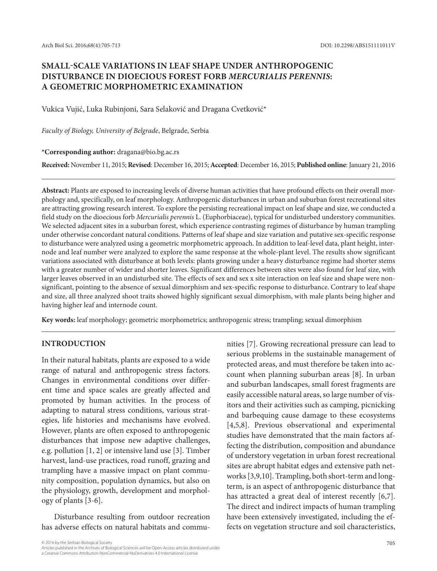# **SMALL-SCALE VARIATIONS IN LEAF SHAPE UNDER ANTHROPOGENIC DISTURBANCE IN DIOECIOUS FOREST FORB** *MERCURIALIS PERENNIS***: A GEOMETRIC MORPHOMETRIC EXAMINATION**

Vukica Vujić, Luka Rubinjoni, Sara Selaković and Dragana Cvetković\*

*Faculty of Biology, University of Belgrade*, Belgrade, Serbia

**\*Corresponding author:** dragana@bio.bg.ac.rs

**Received:** November 11, 2015; **Revised**: December 16, 2015; **Accepted**: December 16, 2015; **Published online**: January 21, 2016

**Abstract:** Plants are exposed to increasing levels of diverse human activities that have profound effects on their overall morphology and, specifically, on leaf morphology. Anthropogenic disturbances in urban and suburban forest recreational sites are attracting growing research interest. To explore the persisting recreational impact on leaf shape and size, we conducted a field study on the dioecious forb *Mercurialis perennis* L. (Euphorbiaceae), typical for undisturbed understory communities. We selected adjacent sites in a suburban forest, which experience contrasting regimes of disturbance by human trampling under otherwise concordant natural conditions. Patterns of leaf shape and size variation and putative sex-specific response to disturbance were analyzed using a geometric morphometric approach. In addition to leaf-level data, plant height, internode and leaf number were analyzed to explore the same response at the whole-plant level. The results show significant variations associated with disturbance at both levels: plants growing under a heavy disturbance regime had shorter stems with a greater number of wider and shorter leaves. Significant differences between sites were also found for leaf size, with larger leaves observed in an undisturbed site. The effects of sex and sex x site interaction on leaf size and shape were nonsignificant, pointing to the absence of sexual dimorphism and sex-specific response to disturbance. Contrary to leaf shape and size, all three analyzed shoot traits showed highly significant sexual dimorphism, with male plants being higher and having higher leaf and internode count.

**Key words:** leaf morphology; geometric morphometrics; anthropogenic stress; trampling; sexual dimorphism

# **INTRODUCTION**

In their natural habitats, plants are exposed to a wide range of natural and anthropogenic stress factors. Changes in environmental conditions over different time and space scales are greatly affected and promoted by human activities. In the process of adapting to natural stress conditions, various strategies, life histories and mechanisms have evolved. However, plants are often exposed to anthropogenic disturbances that impose new adaptive challenges, e.g. pollution [1, 2] or intensive land use [3]. Timber harvest, land-use practices, road runoff, grazing and trampling have a massive impact on plant community composition, population dynamics, but also on the physiology, growth, development and morphology of plants [3-6].

Disturbance resulting from outdoor recreation has adverse effects on natural habitats and commu-

nities [7]. Growing recreational pressure can lead to serious problems in the sustainable management of protected areas, and must therefore be taken into account when planning suburban areas [8]. In urban and suburban landscapes, small forest fragments are easily accessible natural areas, so large number of visitors and their activities such as camping, picnicking and barbequing cause damage to these ecosystems [4,5,8]. Previous observational and experimental studies have demonstrated that the main factors affecting the distribution, composition and abundance of understory vegetation in urban forest recreational sites are abrupt habitat edges and extensive path networks [3,9,10]. Trampling, both short-term and longterm, is an aspect of anthropogenic disturbance that has attracted a great deal of interest recently [6,7]. The direct and indirect impacts of human trampling have been extensively investigated, including the effects on vegetation structure and soil characteristics,

<sup>© 2016</sup> by the Serbian Biological Society 705<br>Articles published in the Archives of Biological Sciences will be Open-Access articles distributed under a Creative Commons Attribution-NonCommercial-NoDerivatives 4.0 International License.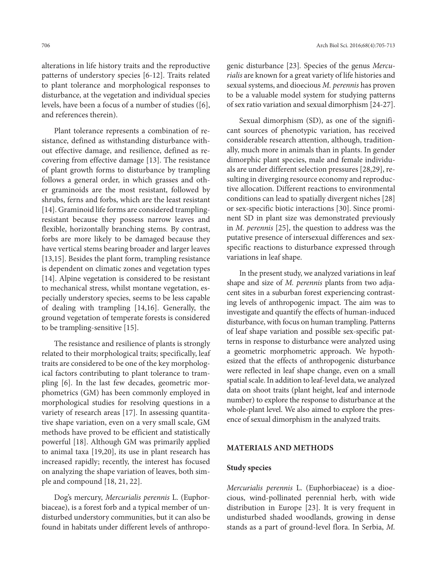alterations in life history traits and the reproductive patterns of understory species [6-12]. Traits related to plant tolerance and morphological responses to disturbance, at the vegetation and individual species levels, have been a focus of a number of studies ([6], and references therein).

Plant tolerance represents a combination of resistance, defined as withstanding disturbance without effective damage, and resilience, defined as recovering from effective damage [13]. The resistance of plant growth forms to disturbance by trampling follows a general order, in which grasses and other graminoids are the most resistant, followed by shrubs, ferns and forbs, which are the least resistant [14]. Graminoid life forms are considered tramplingresistant because they possess narrow leaves and flexible, horizontally branching stems. By contrast, forbs are more likely to be damaged because they have vertical stems bearing broader and larger leaves [13,15]. Besides the plant form, trampling resistance is dependent on climatic zones and vegetation types [14]. Alpine vegetation is considered to be resistant to mechanical stress, whilst montane vegetation, especially understory species, seems to be less capable of dealing with trampling [14,16]. Generally, the ground vegetation of temperate forests is considered to be trampling-sensitive [15].

The resistance and resilience of plants is strongly related to their morphological traits; specifically, leaf traits are considered to be one of the key morphological factors contributing to plant tolerance to trampling [6]. In the last few decades, geometric morphometrics (GM) has been commonly employed in morphological studies for resolving questions in a variety of research areas [17]. In assessing quantitative shape variation, even on a very small scale, GM methods have proved to be efficient and statistically powerful [18]. Although GM was primarily applied to animal taxa [19,20], its use in plant research has increased rapidly; recently, the interest has focused on analyzing the shape variation of leaves, both simple and compound [18, 21, 22].

Dog's mercury, *Mercurialis perennis* L. (Euphorbiaceae), is a forest forb and a typical member of undisturbed understory communities, but it can also be found in habitats under different levels of anthropogenic disturbance [23]*.* Species of the genus *Mercurialis* are known for a great variety of life histories and sexual systems, and dioecious *M. perennis* has proven to be a valuable model system for studying patterns of sex ratio variation and sexual dimorphism [24-27].

Sexual dimorphism (SD), as one of the significant sources of phenotypic variation, has received considerable research attention, although, traditionally, much more in animals than in plants. In gender dimorphic plant species, male and female individuals are under different selection pressures [28,29], resulting in diverging resource economy and reproductive allocation. Different reactions to environmental conditions can lead to spatially divergent niches [28] or sex-specific biotic interactions [30]. Since prominent SD in plant size was demonstrated previously in *M. perennis* [25], the question to address was the putative presence of intersexual differences and sexspecific reactions to disturbance expressed through variations in leaf shape.

In the present study, we analyzed variations in leaf shape and size of *M. perennis* plants from two adjacent sites in a suburban forest experiencing contrasting levels of anthropogenic impact. The aim was to investigate and quantify the effects of human-induced disturbance, with focus on human trampling. Patterns of leaf shape variation and possible sex-specific patterns in response to disturbance were analyzed using a geometric morphometric approach. We hypothesized that the effects of anthropogenic disturbance were reflected in leaf shape change, even on a small spatial scale. In addition to leaf-level data, we analyzed data on shoot traits (plant height, leaf and internode number) to explore the response to disturbance at the whole-plant level. We also aimed to explore the presence of sexual dimorphism in the analyzed traits.

## **MATERIALS AND METHODS**

## **Study species**

*Mercurialis perennis* L. (Euphorbiaceae) is a dioecious, wind-pollinated perennial herb, with wide distribution in Europe [23]. It is very frequent in undisturbed shaded woodlands, growing in dense stands as a part of ground-level flora. In Serbia, *M.*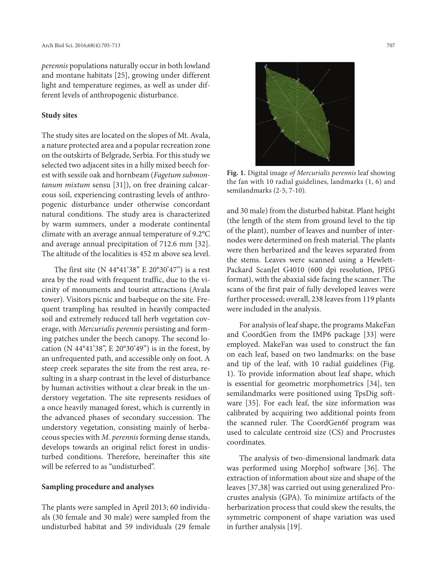*perennis* populations naturally occur in both lowland and montane habitats [25], growing under different light and temperature regimes, as well as under different levels of anthropogenic disturbance.

#### **Study sites**

The study sites are located on the slopes of Mt. Avala, a nature protected area and a popular recreation zone on the outskirts of Belgrade, Serbia. For this study we selected two adjacent sites in a hilly mixed beech forest with sessile oak and hornbeam (*Fagetum submontanum mixtum* sensu [31]), on free draining calcareous soil, experiencing contrasting levels of anthropogenic disturbance under otherwise concordant natural conditions. The study area is characterized by warm summers, under a moderate continental climate with an average annual temperature of 9.2°C and average annual precipitation of 712.6 mm [32]. The altitude of the localities is 452 m above sea level.

The first site (N 44°41'38'' E 20°30'47'') is a rest area by the road with frequent traffic, due to the vicinity of monuments and tourist attractions (Avala tower). Visitors picnic and barbeque on the site. Frequent trampling has resulted in heavily compacted soil and extremely reduced tall herb vegetation coverage, with *Mercurialis perennis* persisting and forming patches under the beech canopy. The second location (N 44°41'38'', E 20°30'49'') is in the forest, by an unfrequented path, and accessible only on foot. A steep creek separates the site from the rest area, resulting in a sharp contrast in the level of disturbance by human activities without a clear break in the understory vegetation. The site represents residues of a once heavily managed forest, which is currently in the advanced phases of secondary succession. The understory vegetation, consisting mainly of herbaceous species with *M. perennis* forming dense stands, develops towards an original relict forest in undisturbed conditions. Therefore, hereinafter this site will be referred to as "undisturbed".

## **Sampling procedure and analyses**

The plants were sampled in April 2013; 60 individuals (30 female and 30 male) were sampled from the undisturbed habitat and 59 individuals (29 female



**Fig. 1.** Digital image *of Mercurialis perennis* leaf showing the fan with 10 radial guidelines, landmarks (1, 6) and semilandmarks (2-5, 7-10).

and 30 male) from the disturbed habitat. Plant height (the length of the stem from ground level to the tip of the plant), number of leaves and number of internodes were determined on fresh material. The plants were then herbarized and the leaves separated from the stems. Leaves were scanned using a Hewlett-Packard ScanJet G4010 (600 dpi resolution, JPEG format), with the abaxial side facing the scanner. The scans of the first pair of fully developed leaves were further processed; overall, 238 leaves from 119 plants were included in the analysis.

For analysis of leaf shape, the programs MakeFan and CoordGen from the IMP6 package [33] were employed. MakeFan was used to construct the fan on each leaf, based on two landmarks: on the base and tip of the leaf, with 10 radial guidelines (Fig. 1). To provide information about leaf shape, which is essential for geometric morphometrics [34], ten semilandmarks were positioned using TpsDig software [35]. For each leaf, the size information was calibrated by acquiring two additional points from the scanned ruler. The CoordGen6f program was used to calculate centroid size (CS) and Procrustes coordinates.

The analysis of two-dimensional landmark data was performed using MorphoJ software [36]. The extraction of information about size and shape of the leaves [37,38] was carried out using generalized Procrustes analysis (GPA). To minimize artifacts of the herbarization process that could skew the results, the symmetric component of shape variation was used in further analysis [19].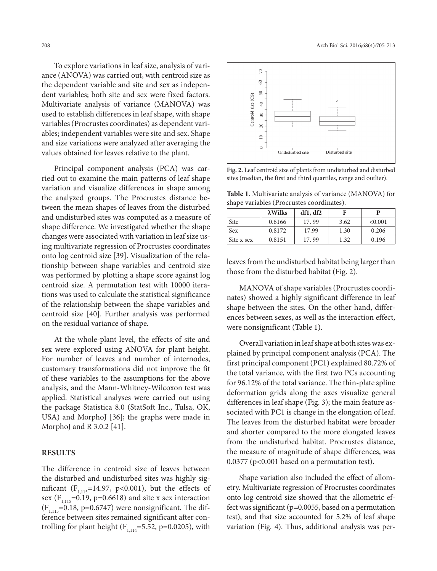To explore variations in leaf size, analysis of variance (ANOVA) was carried out, with centroid size as the dependent variable and site and sex as independent variables; both site and sex were fixed factors. Multivariate analysis of variance (MANOVA) was used to establish differences in leaf shape, with shape variables (Procrustes coordinates) as dependent variables; independent variables were site and sex. Shape and size variations were analyzed after averaging the values obtained for leaves relative to the plant.

Principal component analysis (PCA) was carried out to examine the main patterns of leaf shape variation and visualize differences in shape among the analyzed groups. The Procrustes distance between the mean shapes of leaves from the disturbed and undisturbed sites was computed as a measure of shape difference. We investigated whether the shape changes were associated with variation in leaf size using multivariate regression of Procrustes coordinates onto log centroid size [39]. Visualization of the relationship between shape variables and centroid size was performed by plotting a shape score against log centroid size. A permutation test with 10000 iterations was used to calculate the statistical significance of the relationship between the shape variables and centroid size [40]. Further analysis was performed on the residual variance of shape.

At the whole-plant level, the effects of site and sex were explored using ANOVA for plant height. For number of leaves and number of internodes, customary transformations did not improve the fit of these variables to the assumptions for the above analysis, and the Mann-Whitney-Wilcoxon test was applied. Statistical analyses were carried out using the package Statistica 8.0 (StatSoft Inc., Tulsa, OK, USA) and MorphoJ [36]; the graphs were made in MorphoJ and R 3.0.2 [41].

## **RESULTS**

The difference in centroid size of leaves between the disturbed and undisturbed sites was highly significant ( $F_{1,115}$ =14.97, p<0.001), but the effects of sex ( $F_{1,115} = 0.19$ , p=0.6618) and site x sex interaction  $(F<sub>1,115</sub>=0.18, p=0.6747)$  were nonsignificant. The difference between sites remained significant after controlling for plant height ( $F_{1,114}$ =5.52, p=0.0205), with



**Fig. 2.** Leaf centroid size of plants from undisturbed and disturbed sites (median, the first and third quartiles, range and outlier).

**Table 1**. Multivariate analysis of variance (MANOVA) for shape variables (Procrustes coordinates).

|            | $\lambda$ Wilks | df1, df2 |      | p       |
|------------|-----------------|----------|------|---------|
| Site       | 0.6166          | 17.99    | 3.62 | < 0.001 |
| <b>Sex</b> | 0.8172          | 17.99    | 1.30 | 0.206   |
| Site x sex | 0.8151          | 17.99    | 1.32 | 0.196   |

leaves from the undisturbed habitat being larger than those from the disturbed habitat (Fig. 2).

MANOVA of shape variables (Procrustes coordinates) showed a highly significant difference in leaf shape between the sites. On the other hand, differences between sexes, as well as the interaction effect, were nonsignificant (Table 1).

Overall variation in leaf shape at both sites was explained by principal component analysis (PCA). The first principal component (PC1) explained 80.72% of the total variance, with the first two PCs accounting for 96.12% of the total variance. The thin-plate spline deformation grids along the axes visualize general differences in leaf shape (Fig. 3); the main feature associated with PC1 is change in the elongation of leaf. The leaves from the disturbed habitat were broader and shorter compared to the more elongated leaves from the undisturbed habitat. Procrustes distance, the measure of magnitude of shape differences, was  $0.0377$  (p<0.001 based on a permutation test).

Shape variation also included the effect of allometry. Multivariate regression of Procrustes coordinates onto log centroid size showed that the allometric effect was significant (p=0.0055, based on a permutation test), and that size accounted for 5.2% of leaf shape variation (Fig. 4). Thus, additional analysis was per-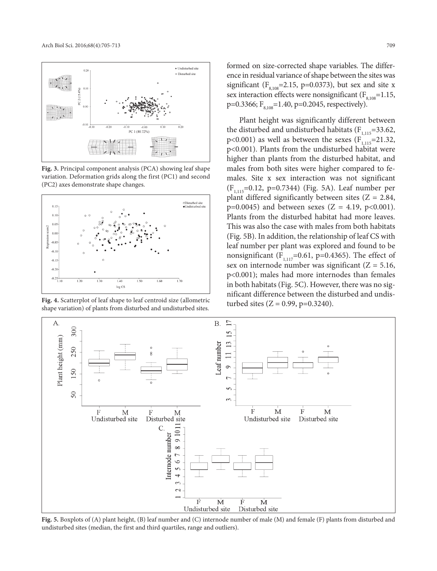

**Fig. 3.** Principal component analysis (PCA) showing leaf shape variation. Deformation grids along the first (PC1) and second (PC2) axes demonstrate shape changes.



**Fig. 4.** Scatterplot of leaf shape to leaf centroid size (allometric shape variation) of plants from disturbed and undisturbed sites.

formed on size-corrected shape variables. The difference in residual variance of shape between the sites was significant ( $F<sub>8,108</sub>=2.15$ , p=0.0373), but sex and site x sex interaction effects were nonsignificant ( $F_{8,108}=1.15$ , p=0.3366;  $F_{8,108}$ =1.40, p=0.2045, respectively).

Plant height was significantly different between the disturbed and undisturbed habitats  $(F_{1,115}=33.62,$ p<0.001) as well as between the sexes  $(F_{1,115}=21.32,$ p<0.001). Plants from the undisturbed habitat were higher than plants from the disturbed habitat, and males from both sites were higher compared to females. Site x sex interaction was not significant  $(F_{1,115}=0.12, p=0.7344)$  (Fig. 5A). Leaf number per plant differed significantly between sites  $(Z = 2.84,$  $p=0.0045$ ) and between sexes (Z = 4.19,  $p<0.001$ ). Plants from the disturbed habitat had more leaves. This was also the case with males from both habitats (Fig. 5B). In addition, the relationship of leaf CS with leaf number per plant was explored and found to be nonsignificant ( $F_{1,117}$ =0.61, p=0.4365). The effect of sex on internode number was significant  $(Z = 5.16$ , p<0.001); males had more internodes than females in both habitats (Fig. 5C). However, there was no significant difference between the disturbed and undisturbed sites  $(Z = 0.99, p=0.3240)$ .



**Fig. 5.** Boxplots of (A) plant height, (B) leaf number and (C) internode number of male (M) and female (F) plants from disturbed and undisturbed sites (median, the first and third quartiles, range and outliers).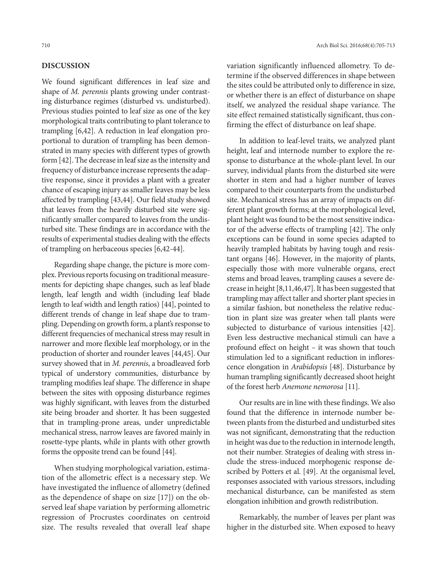# **DISCUSSION**

We found significant differences in leaf size and shape of *M. perennis* plants growing under contrasting disturbance regimes (disturbed vs. undisturbed). Previous studies pointed to leaf size as one of the key morphological traits contributing to plant tolerance to trampling [6,42]. A reduction in leaf elongation proportional to duration of trampling has been demonstrated in many species with different types of growth form [42]. The decrease in leaf size as the intensity and frequency of disturbance increase represents the adaptive response, since it provides a plant with a greater chance of escaping injury as smaller leaves may be less affected by trampling [43,44]. Our field study showed that leaves from the heavily disturbed site were significantly smaller compared to leaves from the undisturbed site. These findings are in accordance with the results of experimental studies dealing with the effects of trampling on herbaceous species [6,42-44].

Regarding shape change, the picture is more complex. Previous reports focusing on traditional measurements for depicting shape changes, such as leaf blade length, leaf length and width (including leaf blade length to leaf width and length ratios) [44], pointed to different trends of change in leaf shape due to trampling. Depending on growth form, a plant's response to different frequencies of mechanical stress may result in narrower and more flexible leaf morphology, or in the production of shorter and rounder leaves [44,45]. Our survey showed that in *M. perennis*, a broadleaved forb typical of understory communities, disturbance by trampling modifies leaf shape. The difference in shape between the sites with opposing disturbance regimes was highly significant, with leaves from the disturbed site being broader and shorter. It has been suggested that in trampling-prone areas, under unpredictable mechanical stress, narrow leaves are favored mainly in rosette-type plants, while in plants with other growth forms the opposite trend can be found [44].

When studying morphological variation, estimation of the allometric effect is a necessary step. We have investigated the influence of allometry (defined as the dependence of shape on size [17]) on the observed leaf shape variation by performing allometric regression of Procrustes coordinates on centroid size. The results revealed that overall leaf shape

variation significantly influenced allometry. To determine if the observed differences in shape between the sites could be attributed only to difference in size, or whether there is an effect of disturbance on shape itself, we analyzed the residual shape variance. The site effect remained statistically significant, thus confirming the effect of disturbance on leaf shape.

In addition to leaf-level traits, we analyzed plant height, leaf and internode number to explore the response to disturbance at the whole-plant level. In our survey, individual plants from the disturbed site were shorter in stem and had a higher number of leaves compared to their counterparts from the undisturbed site. Mechanical stress has an array of impacts on different plant growth forms; at the morphological level, plant height was found to be the most sensitive indicator of the adverse effects of trampling [42]. The only exceptions can be found in some species adapted to heavily trampled habitats by having tough and resistant organs [46]. However, in the majority of plants, especially those with more vulnerable organs, erect stems and broad leaves, trampling causes a severe decrease in height [8,11,46,47]. It has been suggested that trampling may affect taller and shorter plant species in a similar fashion, but nonetheless the relative reduction in plant size was greater when tall plants were subjected to disturbance of various intensities [42]. Even less destructive mechanical stimuli can have a profound effect on height – it was shown that touch stimulation led to a significant reduction in inflorescence elongation in *Arabidopsis* [48]. Disturbance by human trampling significantly decreased shoot height of the forest herb *Anemone nemorosa* [11].

Our results are in line with these findings. We also found that the difference in internode number between plants from the disturbed and undisturbed sites was not significant, demonstrating that the reduction in height was due to the reduction in internode length, not their number. Strategies of dealing with stress include the stress-induced morphogenic response described by Potters et al. [49]. At the organismal level, responses associated with various stressors, including mechanical disturbance, can be manifested as stem elongation inhibition and growth redistribution.

Remarkably, the number of leaves per plant was higher in the disturbed site. When exposed to heavy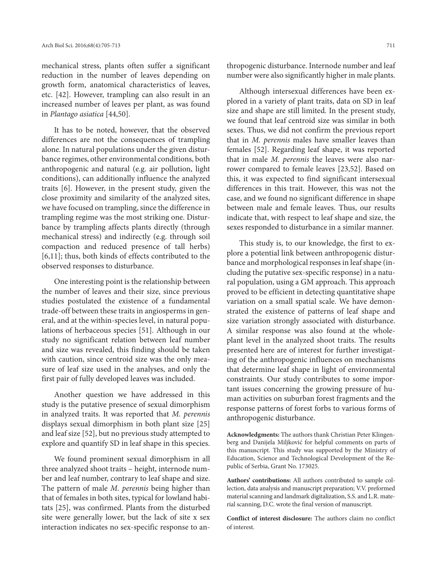mechanical stress, plants often suffer a significant reduction in the number of leaves depending on growth form, anatomical characteristics of leaves, etc. [42]. However, trampling can also result in an increased number of leaves per plant, as was found in *Plantago asiatica* [44,50].

It has to be noted, however, that the observed differences are not the consequences of trampling alone. In natural populations under the given disturbance regimes, other environmental conditions, both anthropogenic and natural (e.g. air pollution, light conditions), can additionally influence the analyzed traits [6]. However, in the present study, given the close proximity and similarity of the analyzed sites, we have focused on trampling, since the difference in trampling regime was the most striking one. Disturbance by trampling affects plants directly (through mechanical stress) and indirectly (e.g. through soil compaction and reduced presence of tall herbs) [6,11]; thus, both kinds of effects contributed to the observed responses to disturbance.

One interesting point is the relationship between the number of leaves and their size, since previous studies postulated the existence of a fundamental trade-off between these traits in angiosperms in general, and at the within-species level, in natural populations of herbaceous species [51]. Although in our study no significant relation between leaf number and size was revealed, this finding should be taken with caution, since centroid size was the only measure of leaf size used in the analyses, and only the first pair of fully developed leaves was included.

Another question we have addressed in this study is the putative presence of sexual dimorphism in analyzed traits. It was reported that *M. perennis* displays sexual dimorphism in both plant size [25] and leaf size [52], but no previous study attempted to explore and quantify SD in leaf shape in this species.

We found prominent sexual dimorphism in all three analyzed shoot traits – height, internode number and leaf number, contrary to leaf shape and size. The pattern of male *M. perennis* being higher than that of females in both sites, typical for lowland habitats [25], was confirmed. Plants from the disturbed site were generally lower, but the lack of site x sex interaction indicates no sex-specific response to anthropogenic disturbance. Internode number and leaf number were also significantly higher in male plants.

Although intersexual differences have been explored in a variety of plant traits, data on SD in leaf size and shape are still limited*.* In the present study, we found that leaf centroid size was similar in both sexes. Thus, we did not confirm the previous report that in *M. perennis* males have smaller leaves than females [52]. Regarding leaf shape, it was reported that in male *M. perennis* the leaves were also narrower compared to female leaves [23,52]. Based on this, it was expected to find significant intersexual differences in this trait. However, this was not the case, and we found no significant difference in shape between male and female leaves. Thus, our results indicate that, with respect to leaf shape and size, the sexes responded to disturbance in a similar manner.

This study is, to our knowledge, the first to explore a potential link between anthropogenic disturbance and morphological responses in leaf shape (including the putative sex-specific response) in a natural population, using a GM approach. This approach proved to be efficient in detecting quantitative shape variation on a small spatial scale. We have demonstrated the existence of patterns of leaf shape and size variation strongly associated with disturbance. A similar response was also found at the wholeplant level in the analyzed shoot traits. The results presented here are of interest for further investigating of the anthropogenic influences on mechanisms that determine leaf shape in light of environmental constraints. Our study contributes to some important issues concerning the growing pressure of human activities on suburban forest fragments and the response patterns of forest forbs to various forms of anthropogenic disturbance.

**Acknowledgments:** The authors thank Christian Peter Klingenberg and Danijela Miljković for helpful comments on parts of this manuscript. This study was supported by the Ministry of Education, Science and Technological Development of the Republic of Serbia, Grant No. 173025.

**Authors' contributions:** All authors contributed to sample collection, data analysis and manuscript preparation; V.V. preformed material scanning and landmark digitalization, S.S. and L.R. material scanning, D.C. wrote the final version of manuscript.

**Conflict of interest disclosure:** The authors claim no conflict of interest.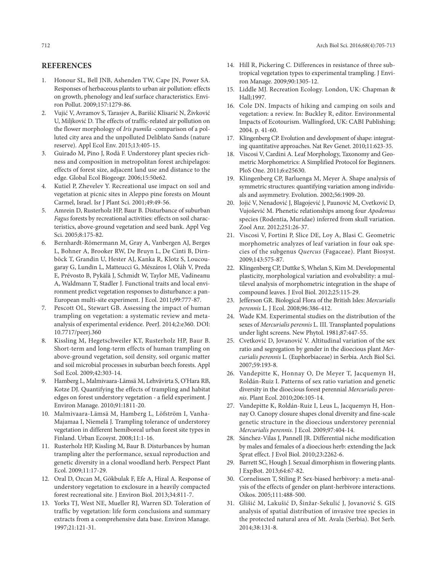# **REFERENCES**

- 1. Honour SL, Bell JNB, Ashenden TW, Cape JN, Power SA. Responses of herbaceous plants to urban air pollution: effects on growth, phenology and leaf surface characteristics. Environ Pollut. 2009;157:1279-86.
- 2. Vujić V, Avramov S, Tarasjev A, Barišić Klisarić N, Živković U, Miljković D. The effects of traffic-related air pollution on the flower morphology of *Iris pumila* -comparison of a polluted city area and the unpolluted Deliblato Sands (nature reserve). Appl Ecol Env. 2015;13:405-15.
- 3. Guirado M, Pino J, Rodà F. Understorey plant species richness and composition in metropolitan forest archipelagos: effects of forest size, adjacent land use and distance to the edge. Global Ecol Biogeogr. 2006;15:50e62.
- 4. Kutiel P, Zhevelev Y. Recreational use impact on soil and vegetation at picnic sites in Aleppo pine forests on Mount Carmel, Israel. Isr J Plant Sci. 2001;49:49-56.
- 5. Amrein D, Rusterholz HP, Baur B. Disturbance of suburban *Fagus* forests by recreational activities: effects on soil characteristics, above-ground vegetation and seed bank. Appl Veg Sci. 2005;8:175-82.
- 6. Bernhardt-Römermann M, Gray A, Vanbergen AJ, Berges L, Bohner A, Brooker RW, De Bruyn L, De Cinti B, Dirnböck T, Grandin U, Hester AJ, Kanka R, Klotz S, Loucougaray G, Lundin L, Matteucci G, Mészáros I, Oláh V, Preda E, Prévosto B, Pykälä J, Schmidt W, Taylor ME, Vadineanu A, Waldmann T, Stadler J. Functional traits and local environment predict vegetation responses to disturbance: a pan-European multi-site experiment. J Ecol. 2011**;**99:777-87.
- 7. Pescott OL, Stewart GB. Assessing the impact of human trampling on vegetation: a systematic review and metaanalysis of experimental evidence. PeerJ. 2014;2:e360. DOI: 10.7717/peerj.360
- 8. Kissling M, Hegetschweiler KT, Rusterholz HP, Baur B. Short-term and long-term effects of human trampling on above-ground vegetation, soil density, soil organic matter and soil microbial processes in suburban beech forests. Appl Soil Ecol. 2009;42:303-14.
- 9. Hamberg L, Malmivaara-Lämsä M, Lehvävirta S, O'Hara RB, Kotze DJ. Quantifying the effects of trampling and habitat edges on forest understory vegetation - a field experiment. J Environ Manage. 2010;91:1811-20.
- 10. Malmivaara-Lämsä M, Hamberg L, Löfström I, Vanha-Majamaa I, Niemelä J. Trampling tolerance of understorey vegetation in different hemiboreal urban forest site types in Finland. Urban Ecosyst. 2008;11:1-16.
- 11. Rusterholz HP, Kissling M, Baur B. Disturbances by human trampling alter the performance, sexual reproduction and genetic diversity in a clonal woodland herb. Perspect Plant Ecol. 2009;11:17-29.
- 12. Oral D, Ozcan M, Gökbulak F, Efe A, Hizal A. Response of understory vegetation to exclosure in a heavily compacted forest recreational site. J Environ Biol. 2013;34:811-7.
- 13. Yorks TJ, West NE, Mueller RJ, Warren SD. Toleration of traffic by vegetation: life form conclusions and summary extracts from a comprehensive data base. Environ Manage. 1997;21:121-31.
- 14. Hill R, Pickering C. Differences in resistance of three subtropical vegetation types to experimental trampling. J Environ Manage. 2009;90:1305-12.
- 15. Liddle MJ. Recreation Ecology. London, UK: Chapman & Hall;1997.
- 16. Cole DN. Impacts of hiking and camping on soils and vegetation: a review. In: Buckley R, editor. Environmental Impacts of Ecotourism. Wallingford, UK: CABI Publishing; 2004. p. 41-60.
- 17. Klingenberg CP. Evolution and development of shape: integrating quantitative approaches. Nat Rev Genet. 2010;11:623-35.
- 18. Viscosi V, Cardini A. Leaf Morphology, Taxonomy and Geometric Morphometrics: A Simplified Protocol for Beginners. PloS One. 2011;6:e25630.
- 19. Klingenberg CP, Barluenga M, Meyer A. Shape analysis of symmetric structures: quantifying variation among individuals and asymmetry. Evolution. 2002;56:1909-20.
- 20. Jojić V, Nenadović J, Blagojević J, Paunović M, Cvetković D, Vujošević M. Phenetic relationships among four *Apodemus* species (Rodentia, Muridae) inferred from skull variation. Zool Anz. 2012;251:26-37.
- 21. Viscosi V, Fortini P, Slice DE, Loy A, Blasi C. Geometric morphometric analyzes of leaf variation in four oak species of the subgenus *Quercus* (Fagaceae). Plant Biosyst. 2009;143:575-87.
- 22. Klingenberg CP, Duttke S, Whelan S, Kim M. Developmental plasticity, morphological variation and evolvability: a multilevel analysis of morphometric integration in the shape of compound leaves. J Evol Biol. 2012;25:115-29.
- 23. Jefferson GR. Biological Flora of the British Isles: *Mercurialis perennis* L. J Ecol. 2008;96:386-412.
- 24. Wade KM. Experimental studies on the distribution of the sexes of *Mercurialis perennis* L. III. Transplanted populations under light screens. New Phytol. 1981;87:447-55.
- 25. Cvetković D, Jovanović V. Altitudinal variation of the sex ratio and segregation by gender in the dioecious plant *Mercurialis perennis* L. (Euphorbiaceae) in Serbia. Arch Biol Sci. 2007;59:193-8.
- 26. Vandepitte K, Honnay O, De Meyer T, Jacquemyn H, Roldán-Ruiz I. Patterns of sex ratio variation and genetic diversity in the dioecious forest perennial *Mercurialis perennis*. Plant Ecol. 2010;206:105-14.
- 27. Vandepitte K, Roldán-Ruiz I, Leus L, Jacquemyn H, Honnay O. Canopy closure shapes clonal diversity and fine-scale genetic structure in the dioecious understorey perennial *Mercurialis perennis*. J Ecol. 2009;97:404-14.
- 28. Sánchez-Vilas J, Pannell JR. Differential niche modification by males and females of a dioecious herb: extending the Jack Sprat effect. J Evol Biol. 2010;23:2262-6.
- 29. Barrett SC, Hough J. Sexual dimorphism in flowering plants. J ExpBot. 2013;64:67-82.
- 30. Cornelissen T, Stiling P. Sex-biased herbivory: a meta-analysis of the effects of gender on plant-herbivore interactions. Oikos. 2005;111:488-500.
- 31. Glišić M, Lakušić D, Šinžar-Sekulić J, Jovanović S. GIS analysis of spatial distribution of invasive tree species in the protected natural area of Mt. Avala (Serbia). Bot Serb. 2014;38:131-8.